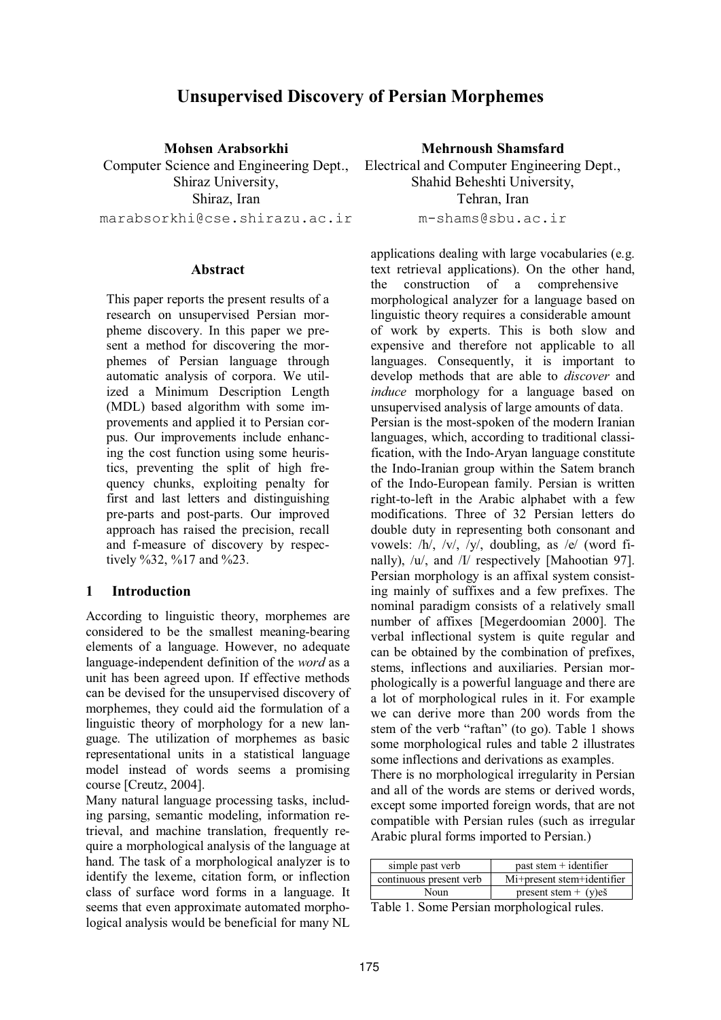# **Unsupervised Discovery of Persian Morphemes**

**Mohsen Arabsorkhi**  Computer Science and Engineering Dept., Shiraz University, Shiraz, Iran marabsorkhi@cse.shirazu.ac.ir

#### **Abstract**

This paper reports the present results of a research on unsupervised Persian morpheme discovery. In this paper we present a method for discovering the morphemes of Persian language through automatic analysis of corpora. We utilized a Minimum Description Length (MDL) based algorithm with some improvements and applied it to Persian corpus. Our improvements include enhancing the cost function using some heuristics, preventing the split of high frequency chunks, exploiting penalty for first and last letters and distinguishing pre-parts and post-parts. Our improved approach has raised the precision, recall and f-measure of discovery by respectively %32, %17 and %23.

#### **1 Introduction**

According to linguistic theory, morphemes are considered to be the smallest meaning-bearing elements of a language. However, no adequate language-independent definition of the *word* as a unit has been agreed upon. If effective methods can be devised for the unsupervised discovery of morphemes, they could aid the formulation of a linguistic theory of morphology for a new language. The utilization of morphemes as basic representational units in a statistical language model instead of words seems a promising course [Creutz, 2004].

Many natural language processing tasks, including parsing, semantic modeling, information retrieval, and machine translation, frequently require a morphological analysis of the language at hand. The task of a morphological analyzer is to identify the lexeme, citation form, or inflection class of surface word forms in a language. It seems that even approximate automated morphological analysis would be beneficial for many NL

**Mehrnoush Shamsfard**  Electrical and Computer Engineering Dept., Shahid Beheshti University, Tehran, Iran m-shams@sbu.ac.ir

applications dealing with large vocabularies (e.g. text retrieval applications). On the other hand, the construction of a comprehensive morphological analyzer for a language based on linguistic theory requires a considerable amount of work by experts. This is both slow and expensive and therefore not applicable to all languages. Consequently, it is important to develop methods that are able to *discover* and *induce* morphology for a language based on unsupervised analysis of large amounts of data. Persian is the most-spoken of the modern Iranian languages, which, according to traditional classification, with the Indo-Aryan language constitute the Indo-Iranian group within the Satem branch of the Indo-European family. Persian is written right-to-left in the Arabic alphabet with a few modifications. Three of 32 Persian letters do double duty in representing both consonant and vowels: /h/, /v/, /y/, doubling, as /e/ (word finally), /u/, and /I/ respectively [Mahootian 97]. Persian morphology is an affixal system consisting mainly of suffixes and a few prefixes. The nominal paradigm consists of a relatively small number of affixes [Megerdoomian 2000]. The verbal inflectional system is quite regular and can be obtained by the combination of prefixes, stems, inflections and auxiliaries. Persian morphologically is a powerful language and there are a lot of morphological rules in it. For example we can derive more than 200 words from the stem of the verb "raftan" (to go). Table 1 shows some morphological rules and table 2 illustrates some inflections and derivations as examples. There is no morphological irregularity in Persian

and all of the words are stems or derived words, except some imported foreign words, that are not compatible with Persian rules (such as irregular Arabic plural forms imported to Persian.)

| simple past verb        | past stem $+$ identifier   |
|-------------------------|----------------------------|
| continuous present verb | Mi+present stem+identifier |
| Noun                    | present stem $+$ (y)es     |

Table 1. Some Persian morphological rules.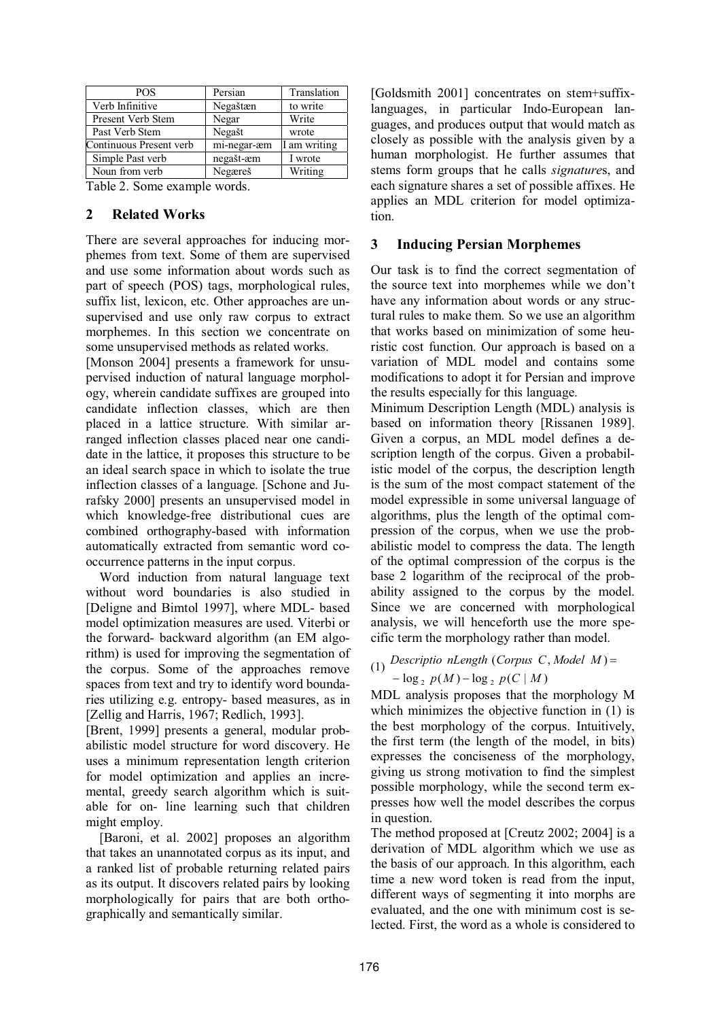| <b>POS</b>                                | Persian     | Translation  |
|-------------------------------------------|-------------|--------------|
| Verb Infinitive                           | Negaštæn    | to write     |
| Present Verb Stem                         | Negar       | Write        |
| Past Verb Stem                            | Negašt      | wrote        |
| Continuous Present verb                   | mi-negar-æm | I am writing |
| Simple Past verb                          | negašt-æm   | I wrote      |
| Noun from verb                            | Negæreš     | Writing      |
| $\mathbf{m}$ 11 $\mathbf{A}$ $\mathbf{A}$ |             |              |

Table 2. Some example words.

### **2 Related Works**

There are several approaches for inducing morphemes from text. Some of them are supervised and use some information about words such as part of speech (POS) tags, morphological rules, suffix list, lexicon, etc. Other approaches are unsupervised and use only raw corpus to extract morphemes. In this section we concentrate on some unsupervised methods as related works.

[Monson 2004] presents a framework for unsupervised induction of natural language morphology, wherein candidate suffixes are grouped into candidate inflection classes, which are then placed in a lattice structure. With similar arranged inflection classes placed near one candidate in the lattice, it proposes this structure to be an ideal search space in which to isolate the true inflection classes of a language. [Schone and Jurafsky 2000] presents an unsupervised model in which knowledge-free distributional cues are combined orthography-based with information automatically extracted from semantic word cooccurrence patterns in the input corpus.

Word induction from natural language text without word boundaries is also studied in [Deligne and Bimtol 1997], where MDL- based model optimization measures are used. Viterbi or the forward- backward algorithm (an EM algorithm) is used for improving the segmentation of the corpus. Some of the approaches remove spaces from text and try to identify word boundaries utilizing e.g. entropy- based measures, as in [Zellig and Harris, 1967; Redlich, 1993].

[Brent, 1999] presents a general, modular probabilistic model structure for word discovery. He uses a minimum representation length criterion for model optimization and applies an incremental, greedy search algorithm which is suitable for on- line learning such that children might employ.

[Baroni, et al. 2002] proposes an algorithm that takes an unannotated corpus as its input, and a ranked list of probable returning related pairs as its output. It discovers related pairs by looking morphologically for pairs that are both orthographically and semantically similar.

[Goldsmith 2001] concentrates on stem+suffixlanguages, in particular Indo-European languages, and produces output that would match as closely as possible with the analysis given by a human morphologist. He further assumes that stems form groups that he calls *signature*s, and each signature shares a set of possible affixes. He applies an MDL criterion for model optimization.

### **3 Inducing Persian Morphemes**

Our task is to find the correct segmentation of the source text into morphemes while we don't have any information about words or any structural rules to make them. So we use an algorithm that works based on minimization of some heuristic cost function. Our approach is based on a variation of MDL model and contains some modifications to adopt it for Persian and improve the results especially for this language.

Minimum Description Length (MDL) analysis is based on information theory [Rissanen 1989]. Given a corpus, an MDL model defines a description length of the corpus. Given a probabilistic model of the corpus, the description length is the sum of the most compact statement of the model expressible in some universal language of algorithms, plus the length of the optimal compression of the corpus, when we use the probabilistic model to compress the data. The length of the optimal compression of the corpus is the base 2 logarithm of the reciprocal of the probability assigned to the corpus by the model. Since we are concerned with morphological analysis, we will henceforth use the more specific term the morphology rather than model.

# (1) Descriptio nLength (Corpus C, Model M)=  $-\log_2 p(M) - \log_2 p(C | M)$

MDL analysis proposes that the morphology M which minimizes the objective function in  $(1)$  is the best morphology of the corpus. Intuitively, the first term (the length of the model, in bits) expresses the conciseness of the morphology, giving us strong motivation to find the simplest possible morphology, while the second term expresses how well the model describes the corpus in question.

The method proposed at [Creutz 2002; 2004] is a derivation of MDL algorithm which we use as the basis of our approach. In this algorithm, each time a new word token is read from the input, different ways of segmenting it into morphs are evaluated, and the one with minimum cost is selected. First, the word as a whole is considered to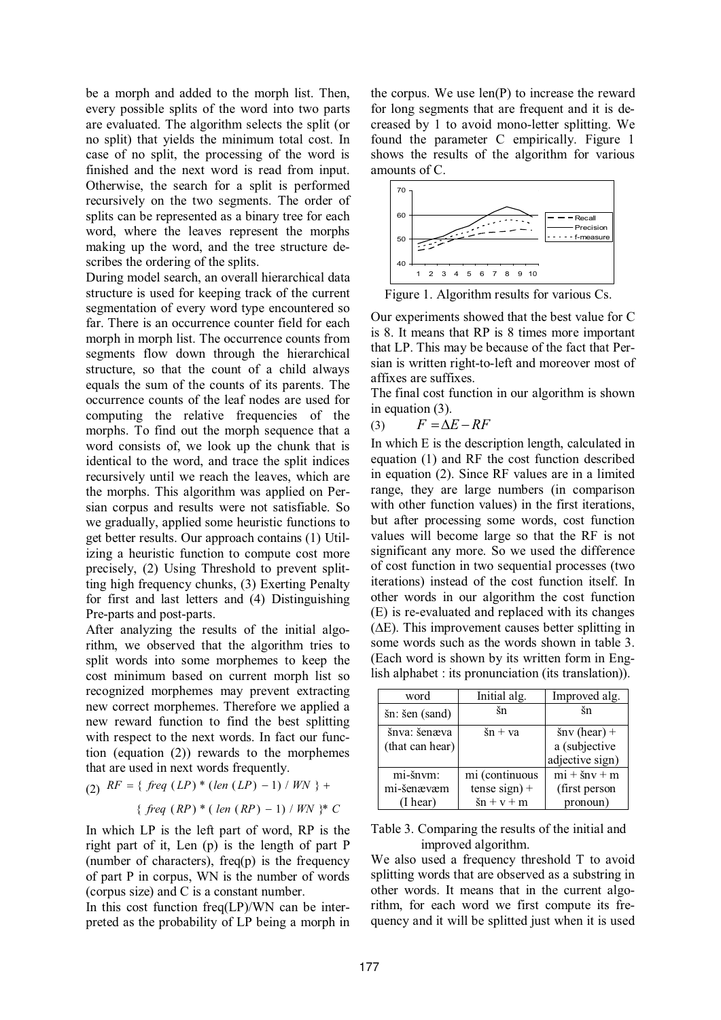be a morph and added to the morph list. Then, every possible splits of the word into two parts are evaluated. The algorithm selects the split (or no split) that yields the minimum total cost. In case of no split, the processing of the word is finished and the next word is read from input. Otherwise, the search for a split is performed recursively on the two segments. The order of splits can be represented as a binary tree for each word, where the leaves represent the morphs making up the word, and the tree structure describes the ordering of the splits.

During model search, an overall hierarchical data structure is used for keeping track of the current segmentation of every word type encountered so far. There is an occurrence counter field for each morph in morph list. The occurrence counts from segments flow down through the hierarchical structure, so that the count of a child always equals the sum of the counts of its parents. The occurrence counts of the leaf nodes are used for computing the relative frequencies of the morphs. To find out the morph sequence that a word consists of, we look up the chunk that is identical to the word, and trace the split indices recursively until we reach the leaves, which are the morphs. This algorithm was applied on Persian corpus and results were not satisfiable. So we gradually, applied some heuristic functions to get better results. Our approach contains (1) Utilizing a heuristic function to compute cost more precisely, (2) Using Threshold to prevent splitting high frequency chunks, (3) Exerting Penalty for first and last letters and (4) Distinguishing Pre-parts and post-parts.

After analyzing the results of the initial algorithm, we observed that the algorithm tries to split words into some morphemes to keep the cost minimum based on current morph list so recognized morphemes may prevent extracting new correct morphemes. Therefore we applied a new reward function to find the best splitting with respect to the next words. In fact our function (equation (2)) rewards to the morphemes that are used in next words frequently.

(2) 
$$
RF = \{ \text{ freq } (LP) * (len (LP) - 1) / WN \} +
$$
  
 $\{ \text{ freq } (RP) * (len (RP) - 1) / WN \} * C$ 

In which LP is the left part of word, RP is the right part of it, Len (p) is the length of part P (number of characters), freq $(p)$  is the frequency of part P in corpus, WN is the number of words (corpus size) and C is a constant number.

In this cost function freq(LP)/WN can be interpreted as the probability of LP being a morph in the corpus. We use len(P) to increase the reward for long segments that are frequent and it is decreased by 1 to avoid mono-letter splitting. We found the parameter C empirically. Figure 1 shows the results of the algorithm for various amounts of C.



Figure 1. Algorithm results for various Cs.

Our experiments showed that the best value for C is 8. It means that RP is 8 times more important that LP. This may be because of the fact that Persian is written right-to-left and moreover most of affixes are suffixes.

The final cost function in our algorithm is shown in equation (3).

(3)  $F = \Delta E - RF$ 

In which E is the description length, calculated in equation (1) and RF the cost function described in equation (2). Since RF values are in a limited range, they are large numbers (in comparison with other function values) in the first iterations, but after processing some words, cost function values will become large so that the RF is not significant any more. So we used the difference of cost function in two sequential processes (two iterations) instead of the cost function itself. In other words in our algorithm the cost function (E) is re-evaluated and replaced with its changes  $(\Delta E)$ . This improvement causes better splitting in some words such as the words shown in table 3. (Each word is shown by its written form in English alphabet : its pronunciation (its translation)).

| word            | Initial alg.         | Improved alg.         |
|-----------------|----------------------|-----------------------|
| šn: šen (sand)  | šn                   | šn                    |
| šnva: šenæva    | $\sin + \mathrm{va}$ | $\text{snv}$ (hear) + |
| (that can hear) |                      | a (subjective         |
|                 |                      | adjective sign)       |
| mi-šnvm:        | mi (continuous       | $mi + \s n v + m$     |
| mi-šenævæm      | $tense sign) +$      | (first person         |
| (I hear)        | $sin + v + m$        | pronoun)              |

Table 3. Comparing the results of the initial and improved algorithm.

We also used a frequency threshold T to avoid splitting words that are observed as a substring in other words. It means that in the current algorithm, for each word we first compute its frequency and it will be splitted just when it is used